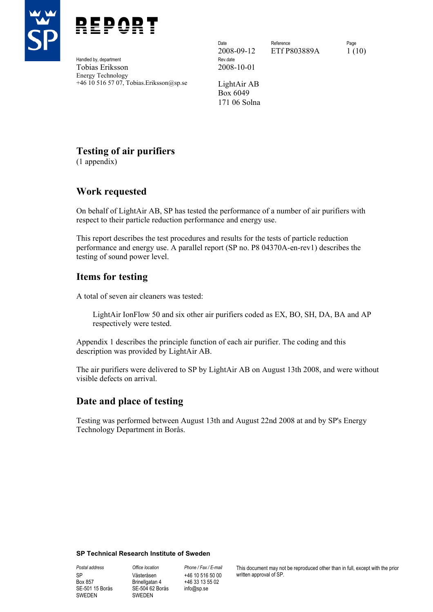



Handled by, department Tobias Eriksson 2008-10-01 Energy Technology +46 10 516 57 07, Tobias.Eriksson@sp.se LightAir AB

2008-09-12 ETf P803889A 1 (10)

Date **Reference** Reference **Page** 

Box 6049 171 06 Solna

# **Testing of air purifiers**

(1 appendix)

# **Work requested**

On behalf of LightAir AB, SP has tested the performance of a number of air purifiers with respect to their particle reduction performance and energy use.

This report describes the test procedures and results for the tests of particle reduction performance and energy use. A parallel report (SP no. P8 04370A-en-rev1) describes the testing of sound power level.

# **Items for testing**

A total of seven air cleaners was tested:

LightAir IonFlow 50 and six other air purifiers coded as EX, BO, SH, DA, BA and AP respectively were tested.

Appendix 1 describes the principle function of each air purifier. The coding and this description was provided by LightAir AB.

The air purifiers were delivered to SP by LightAir AB on August 13th 2008, and were without visible defects on arrival.

# **Date and place of testing**

Testing was performed between August 13th and August 22nd 2008 at and by SP's Energy Technology Department in Borås.

#### **SP Technical Research Institute of Sweden**

SP Box 857 SE-501 15 Borås SWEDEN

*Postal address Office location Phone / Fax / E-mail*  Västeråsen Brinellgatan 4 SE-504 62 Borås SWEDEN

+46 10 516 50 00 +46 33 13 55 02 info@sp.se

This document may not be reproduced other than in full, except with the prior written approval of SP.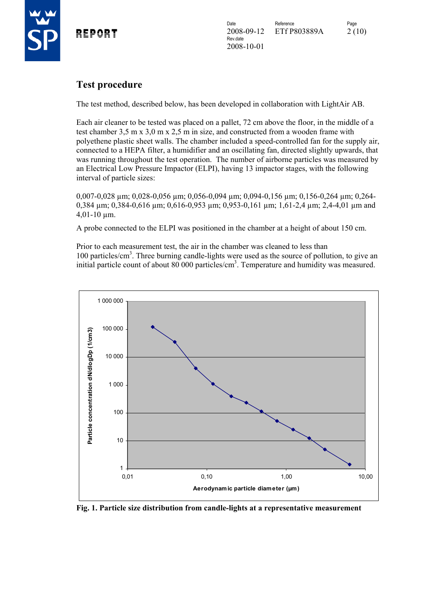

# **Test procedure**

The test method, described below, has been developed in collaboration with LightAir AB.

Each air cleaner to be tested was placed on a pallet, 72 cm above the floor, in the middle of a test chamber 3,5 m x 3,0 m x 2,5 m in size, and constructed from a wooden frame with polyethene plastic sheet walls. The chamber included a speed-controlled fan for the supply air, connected to a HEPA filter, a humidifier and an oscillating fan, directed slightly upwards, that was running throughout the test operation. The number of airborne particles was measured by an Electrical Low Pressure Impactor (ELPI), having 13 impactor stages, with the following interval of particle sizes:

0,007-0,028 µm; 0,028-0,056 µm; 0,056-0,094 µm; 0,094-0,156 µm; 0,156-0,264 µm; 0,264- 0,384 µm; 0,384-0,616 µm; 0,616-0,953 µm; 0,953-0,161 µm; 1,61-2,4 µm; 2,4-4,01 µm and 4,01-10 µm.

A probe connected to the ELPI was positioned in the chamber at a height of about 150 cm.

Prior to each measurement test, the air in the chamber was cleaned to less than 100 particles/cm<sup>3</sup>. Three burning candle-lights were used as the source of pollution, to give an initial particle count of about 80 000 particles/cm<sup>3</sup>. Temperature and humidity was measured.



**Fig. 1. Particle size distribution from candle-lights at a representative measurement**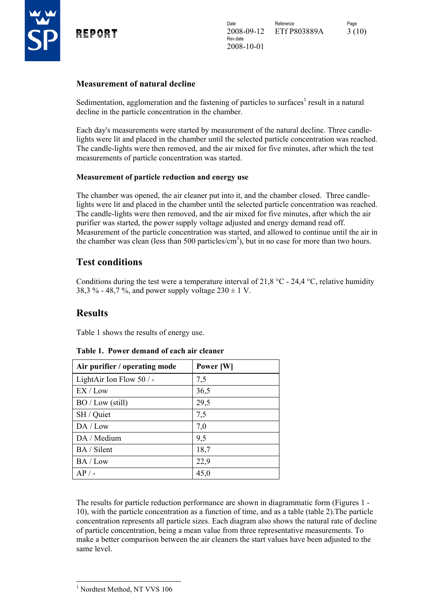

#### **Measurement of natural decline**

Sedimentation, agglomeration and the fastening of particles to surfaces<sup>1</sup> result in a natural decline in the particle concentration in the chamber.

Each day's measurements were started by measurement of the natural decline. Three candlelights were lit and placed in the chamber until the selected particle concentration was reached. The candle-lights were then removed, and the air mixed for five minutes, after which the test measurements of particle concentration was started.

#### **Measurement of particle reduction and energy use**

The chamber was opened, the air cleaner put into it, and the chamber closed. Three candlelights were lit and placed in the chamber until the selected particle concentration was reached. The candle-lights were then removed, and the air mixed for five minutes, after which the air purifier was started, the power supply voltage adjusted and energy demand read off. Measurement of the particle concentration was started, and allowed to continue until the air in the chamber was clean (less than 500 particles/ $\text{cm}^3$ ), but in no case for more than two hours.

# **Test conditions**

Conditions during the test were a temperature interval of 21,8 °C - 24,4 °C, relative humidity 38,3 % - 48,7 %, and power supply voltage  $230 \pm 1$  V.

# **Results**

Table 1 shows the results of energy use.

| Air purifier / operating mode | Power [W] |
|-------------------------------|-----------|
| LightAir Ion Flow $50/$ -     | 7,5       |
| EX / Low                      | 36,5      |
| BO / Low (still)              | 29,5      |
| SH / Quiet                    | 7,5       |
| DA / Low                      | 7,0       |
| DA / Medium                   | 9,5       |
| BA / Silent                   | 18,7      |
| BA / Low                      | 22,9      |
| $AP/$ -                       | 45,0      |

#### **Table 1. Power demand of each air cleaner**

The results for particle reduction performance are shown in diagrammatic form (Figures 1 - 10), with the particle concentration as a function of time, and as a table (table 2).The particle concentration represents all particle sizes. Each diagram also shows the natural rate of decline of particle concentration, being a mean value from three representative measurements. To make a better comparison between the air cleaners the start values have been adjusted to the same level.

<sup>1</sup> Nordtest Method, NT VVS 106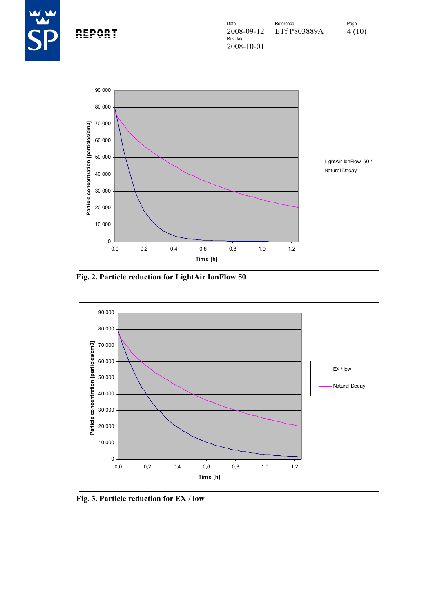



**Fig. 2. Particle reduction for LightAir IonFlow 50** 



**Fig. 3. Particle reduction for EX / low**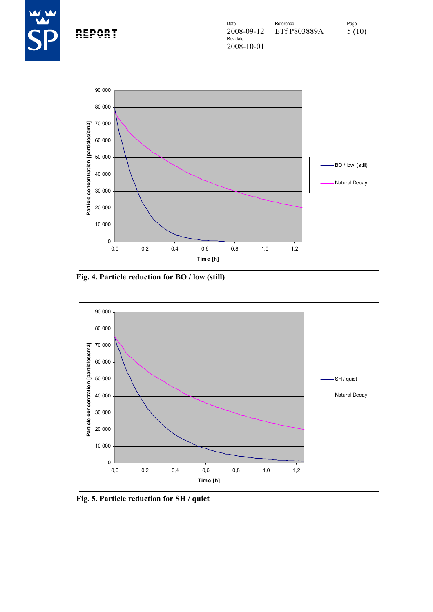



**Fig. 4. Particle reduction for BO / low (still)** 



**Fig. 5. Particle reduction for SH / quiet**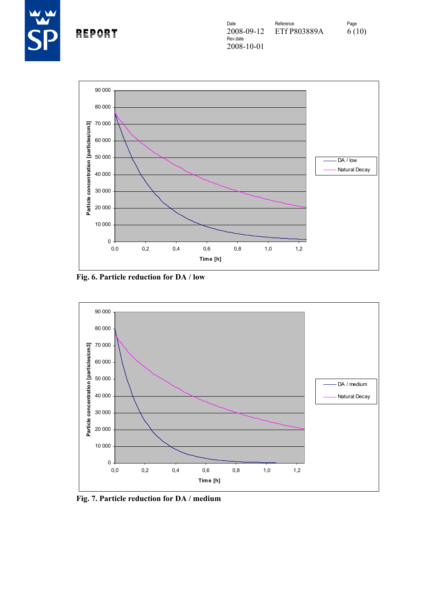



**Fig. 6. Particle reduction for DA / low** 



**Fig. 7. Particle reduction for DA / medium**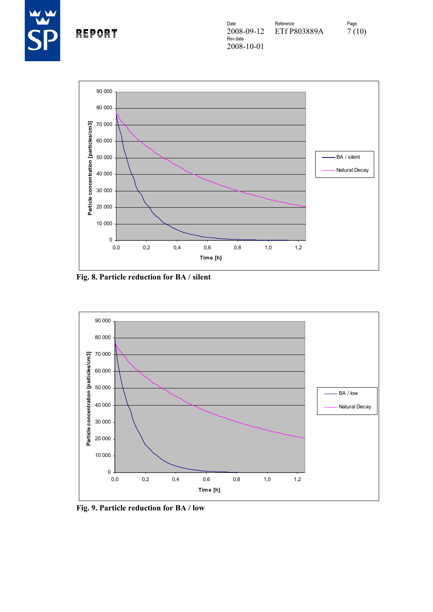



**Fig. 8. Particle reduction for BA / silent** 



**Fig. 9. Particle reduction for BA / low**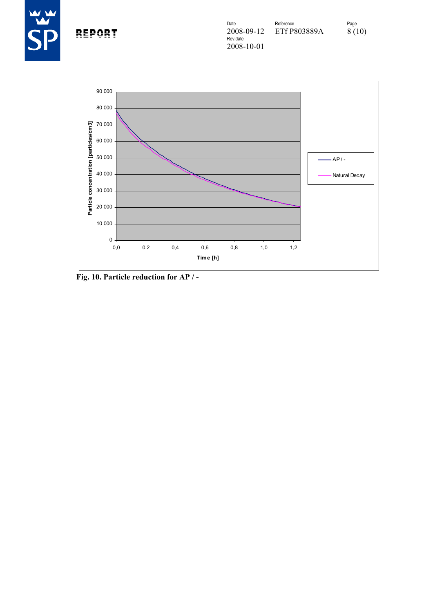



**Fig. 10. Particle reduction for AP / -**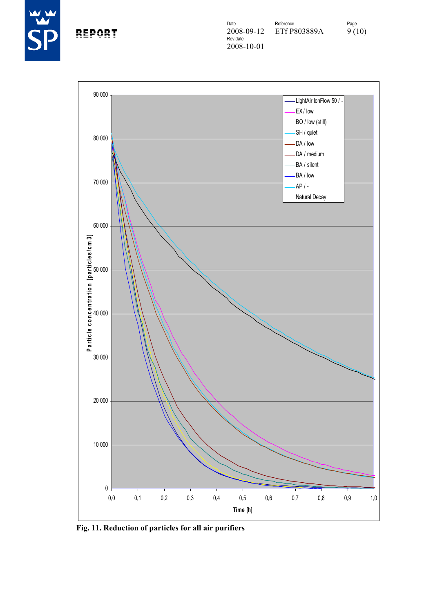

REPORT



**Fig. 11. Reduction of particles for all air purifiers**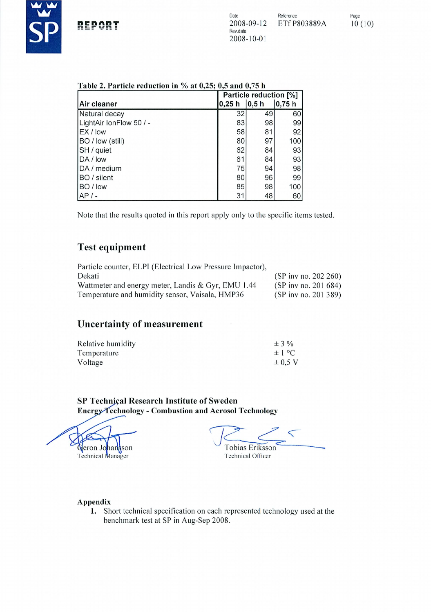

Page  $10(10)$ 

|  | Table 2. Particle reduction in $\%$ at 0,25; 0,5 and 0,75 h |  |  |  |  |
|--|-------------------------------------------------------------|--|--|--|--|
|  |                                                             |  |  |  |  |

|                         | Particle reduction [%] |           |       |
|-------------------------|------------------------|-----------|-------|
| Air cleaner             | 0,25 h                 | $ 0, 5$ h | 0,75h |
| Natural decay           | 32                     | 49        | 60    |
| LightAir IonFlow 50 / - | 83                     | 98        | 99    |
| EX / low                | 58                     | 81        | 92    |
| BO / low (still)        | 80                     | 97        | 100   |
| SH / quiet              | 62                     | 84        | 93    |
| DA / low                | 61                     | 84        | 93    |
| DA / medium             | 75                     | 94        | 98    |
| BO / silent             | 80                     | 96        | 99    |
| BO / low                | 85                     | 98        | 100   |
| AP/                     | 31                     | 48        | 60    |

Note that the results quoted in this report apply only to the specific items tested.

# **Test equipment**

| Particle counter, ELPI (Electrical Low Pressure Impactor), |                                          |
|------------------------------------------------------------|------------------------------------------|
| Dekati                                                     | (SP inv no. 202 260)                     |
| Wattmeter and energy meter, Landis & Gyr, EMU 1.44         | $(SP \text{ inv} \text{ no. } 201\,684)$ |
| Temperature and humidity sensor, Vaisala, HMP36            | (SP inv no. 201 389)                     |

# **Uncertainty of measurement**

| Relative humidity | $\pm$ 3 %   |
|-------------------|-------------|
| Temperature       | $\pm 1$ °C  |
| Voltage           | $\pm$ 0.5 V |

SP Technical Research Institute of Sweden Energy Technology - Combustion and Aerosol Technology

Geron Johansson

Technical Manager

 $\leq$ Tobias Eriksson **Technical Officer** 

Appendix

1. Short technical specification on each represented technology used at the benchmark test at SP in Aug-Sep 2008.